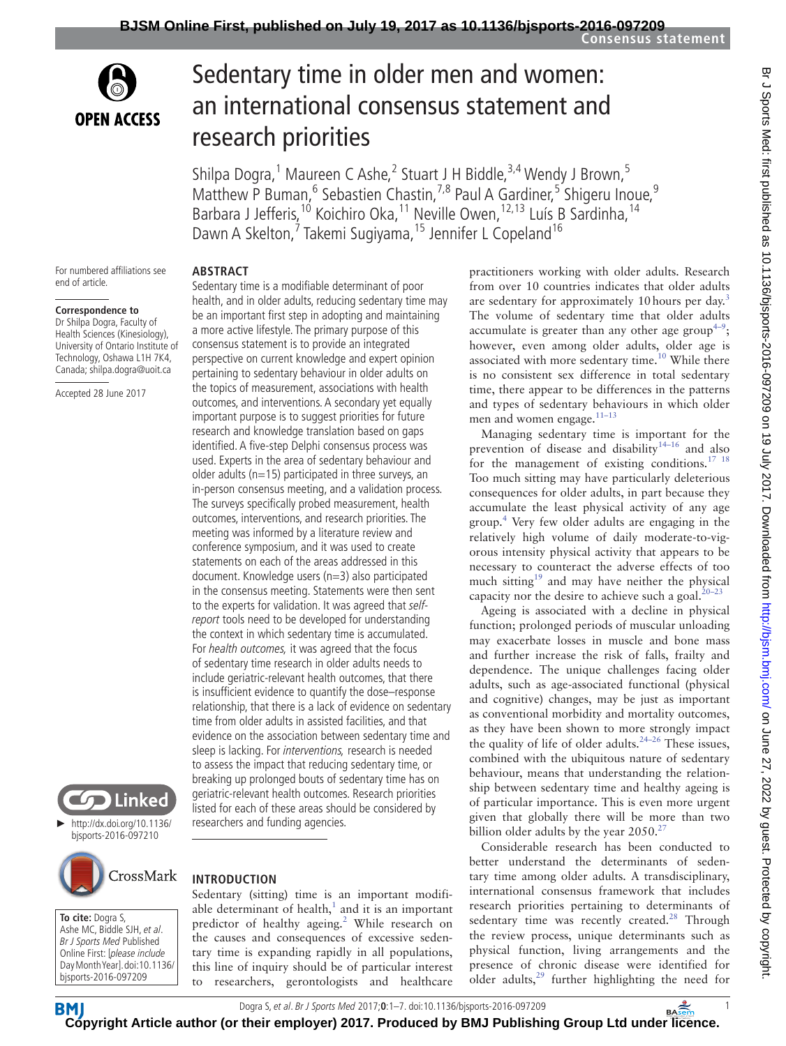

# Sedentary time in older men and women: an international consensus statement and research priorities

Shilpa Dogra,<sup>1</sup> Maureen C Ashe,<sup>2</sup> Stuart J H Biddle,<sup>3,4</sup> Wendy J Brown,<sup>5</sup> Matthew P Buman, <sup>6</sup> Sebastien Chastin, <sup>7,8</sup> Paul A Gardiner, 5 Shigeru Inoue, 9 Barbara J Jefferis,<sup>10</sup> Koichiro Oka,<sup>11</sup> Neville Owen,<sup>12,13</sup> Luís B Sardinha,<sup>14</sup> Dawn A Skelton,<sup>7</sup> Takemi Sugiyama, <sup>15</sup> Jennifer L Copeland<sup>16</sup>

For numbered affiliations see end of article.

**Abstract**

Sedentary time is a modifiable determinant of poor health, and in older adults, reducing sedentary time may be an important first step in adopting and maintaining a more active lifestyle. The primary purpose of this consensus statement is to provide an integrated perspective on current knowledge and expert opinion pertaining to sedentary behaviour in older adults on the topics of measurement, associations with health outcomes, and interventions. A secondary yet equally important purpose is to suggest priorities for future research and knowledge translation based on gaps identified. A five-step Delphi consensus process was used. Experts in the area of sedentary behaviour and older adults (n=15) participated in three surveys, an in-person consensus meeting, and a validation process. The surveys specifically probed measurement, health outcomes, interventions, and research priorities. The meeting was informed by a literature review and conference symposium, and it was used to create statements on each of the areas addressed in this document. Knowledge users (n=3) also participated in the consensus meeting. Statements were then sent to the experts for validation. It was agreed that selfreport tools need to be developed for understanding the context in which sedentary time is accumulated. For health outcomes, it was agreed that the focus of sedentary time research in older adults needs to include geriatric-relevant health outcomes, that there is insufficient evidence to quantify the dose–response relationship, that there is a lack of evidence on sedentary time from older adults in assisted facilities, and that evidence on the association between sedentary time and sleep is lacking. For interventions, research is needed to assess the impact that reducing sedentary time, or breaking up prolonged bouts of sedentary time has on geriatric-relevant health outcomes. Research priorities listed for each of these areas should be considered by

#### **Correspondence to**

Dr Shilpa Dogra, Faculty of Health Sciences (Kinesiology), University of Ontario Institute of Technology, Oshawa L1H 7K4, Canada; shilpa.dogra@uoit.ca

Accepted 28 June 2017



► [http://dx.doi.org/10.1136/](http://dx.doi.org/10.1136/bjsports-2016-097210) [bjsports-2016-097210](http://dx.doi.org/10.1136/bjsports-2016-097210)



#### **To cite:** Dogra S, Ashe MC, Biddle SJH, et al. Br J Sports Med Published Online First: [please include Day Month Year]. doi:10.1136/ bjsports-2016-097209

# **Introduction**

researchers and funding agencies.

Sedentary (sitting) time is an important modifiable determinant of health, $\frac{1}{1}$  $\frac{1}{1}$  $\frac{1}{1}$  and it is an important predictor of healthy ageing.<sup>[2](#page-5-1)</sup> While research on the causes and consequences of excessive sedentary time is expanding rapidly in all populations, this line of inquiry should be of particular interest to researchers, gerontologists and healthcare

practitioners working with older adults. Research from over 10 countries indicates that older adults are sedentary for approximately 10 hours per day. $3$ The volume of sedentary time that older adults accumulate is greater than any other age group<sup> $4-9$ </sup>; however, even among older adults, older age is associated with more sedentary time.<sup>10</sup> While there is no consistent sex difference in total sedentary time, there appear to be differences in the patterns and types of sedentary behaviours in which older men and women engage. $11-13$ 

Managing sedentary time is important for the prevention of disease and disability $14-16$  and also for the management of existing conditions.<sup>17</sup> <sup>18</sup> Too much sitting may have particularly deleterious consequences for older adults, in part because they accumulate the least physical activity of any age group.[4](#page-5-3) Very few older adults are engaging in the relatively high volume of daily moderate-to-vigorous intensity physical activity that appears to be necessary to counteract the adverse effects of too much sitting<sup>[19](#page-5-8)</sup> and may have neither the physical capacity nor the desire to achieve such a goal. $20-23$ 

Ageing is associated with a decline in physical function; prolonged periods of muscular unloading may exacerbate losses in muscle and bone mass and further increase the risk of falls, frailty and dependence. The unique challenges facing older adults, such as age-associated functional (physical and cognitive) changes, may be just as important as conventional morbidity and mortality outcomes, as they have been shown to more strongly impact the quality of life of older adults.<sup>24–26</sup> These issues, combined with the ubiquitous nature of sedentary behaviour, means that understanding the relationship between sedentary time and healthy ageing is of particular importance. This is even more urgent given that globally there will be more than two billion older adults by the year  $2050$ .<sup>[27](#page-5-11)</sup>

Considerable research has been conducted to better understand the determinants of sedentary time among older adults. A transdisciplinary, international consensus framework that includes research priorities pertaining to determinants of sedentary time was recently created.<sup>28</sup> Through the review process, unique determinants such as physical function, living arrangements and the presence of chronic disease were identified for older adults, $29$  further highlighting the need for

Dogra S, et al. Br J Sports Med 2017;**0**:1–7. doi:10.1136/bjsports-2016-0972091

**BMJ [Cop](http://bjsm.bmj.com/)yright Article author (or their employer) 2017. Produced by BMJ Publishing Group Ltd under licence.**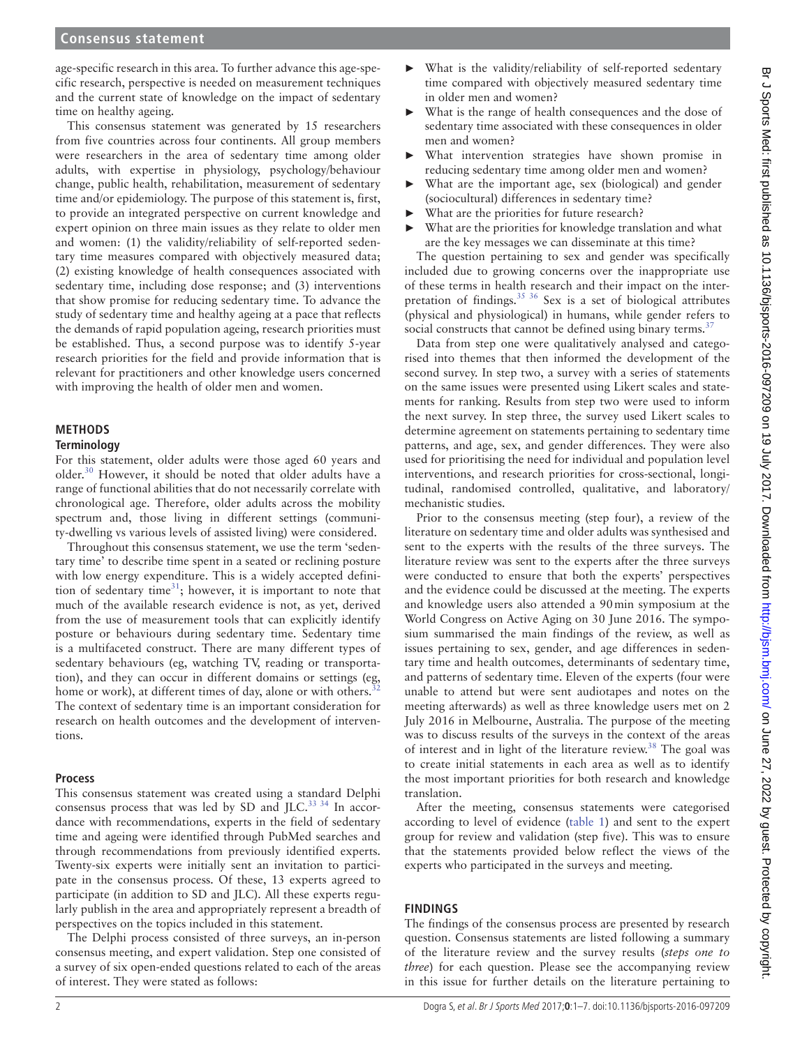age-specific research in this area. To further advance this age-specific research, perspective is needed on measurement techniques and the current state of knowledge on the impact of sedentary time on healthy ageing.

This consensus statement was generated by 15 researchers from five countries across four continents. All group members were researchers in the area of sedentary time among older adults, with expertise in physiology, psychology/behaviour change, public health, rehabilitation, measurement of sedentary time and/or epidemiology. The purpose of this statement is, first, to provide an integrated perspective on current knowledge and expert opinion on three main issues as they relate to older men and women: (1) the validity/reliability of self-reported sedentary time measures compared with objectively measured data; (2) existing knowledge of health consequences associated with sedentary time, including dose response; and (3) interventions that show promise for reducing sedentary time. To advance the study of sedentary time and healthy ageing at a pace that reflects the demands of rapid population ageing, research priorities must be established. Thus, a second purpose was to identify 5-year research priorities for the field and provide information that is relevant for practitioners and other knowledge users concerned with improving the health of older men and women.

# **Methods**

#### **Terminology**

For this statement, older adults were those aged 60 years and older[.30](#page-5-14) However, it should be noted that older adults have a range of functional abilities that do not necessarily correlate with chronological age. Therefore, older adults across the mobility spectrum and, those living in different settings (community-dwelling vs various levels of assisted living) were considered.

Throughout this consensus statement, we use the term 'sedentary time' to describe time spent in a seated or reclining posture with low energy expenditure. This is a widely accepted defini-tion of sedentary time<sup>[31](#page-5-15)</sup>; however, it is important to note that much of the available research evidence is not, as yet, derived from the use of measurement tools that can explicitly identify posture or behaviours during sedentary time. Sedentary time is a multifaceted construct. There are many different types of sedentary behaviours (eg, watching TV, reading or transportation), and they can occur in different domains or settings (eg, home or work), at different times of day, alone or with others.<sup>3</sup> The context of sedentary time is an important consideration for research on health outcomes and the development of interventions.

### **Process**

This consensus statement was created using a standard Delphi consensus process that was led by SD and JLC.<sup>33 34</sup> In accordance with recommendations, experts in the field of sedentary time and ageing were identified through PubMed searches and through recommendations from previously identified experts. Twenty-six experts were initially sent an invitation to participate in the consensus process. Of these, 13 experts agreed to participate (in addition to SD and JLC). All these experts regularly publish in the area and appropriately represent a breadth of perspectives on the topics included in this statement.

The Delphi process consisted of three surveys, an in-person consensus meeting, and expert validation. Step one consisted of a survey of six open-ended questions related to each of the areas of interest. They were stated as follows:

- What is the validity/reliability of self-reported sedentary time compared with objectively measured sedentary time in older men and women?
- What is the range of health consequences and the dose of sedentary time associated with these consequences in older men and women?
- What intervention strategies have shown promise in reducing sedentary time among older men and women?
- What are the important age, sex (biological) and gender (sociocultural) differences in sedentary time?
- What are the priorities for future research?
- What are the priorities for knowledge translation and what are the key messages we can disseminate at this time?

The question pertaining to sex and gender was specifically included due to growing concerns over the inappropriate use of these terms in health research and their impact on the interpretation of findings.[35 36](#page-5-18) Sex is a set of biological attributes (physical and physiological) in humans, while gender refers to social constructs that cannot be defined using binary terms.<sup>[37](#page-5-19)</sup>

Data from step one were qualitatively analysed and categorised into themes that then informed the development of the second survey. In step two, a survey with a series of statements on the same issues were presented using Likert scales and statements for ranking. Results from step two were used to inform the next survey. In step three, the survey used Likert scales to determine agreement on statements pertaining to sedentary time patterns, and age, sex, and gender differences. They were also used for prioritising the need for individual and population level interventions, and research priorities for cross-sectional, longitudinal, randomised controlled, qualitative, and laboratory/ mechanistic studies.

Prior to the consensus meeting (step four), a review of the literature on sedentary time and older adults was synthesised and sent to the experts with the results of the three surveys. The literature review was sent to the experts after the three surveys were conducted to ensure that both the experts' perspectives and the evidence could be discussed at the meeting. The experts and knowledge users also attended a 90min symposium at the World Congress on Active Aging on 30 June 2016. The symposium summarised the main findings of the review, as well as issues pertaining to sex, gender, and age differences in sedentary time and health outcomes, determinants of sedentary time, and patterns of sedentary time. Eleven of the experts (four were unable to attend but were sent audiotapes and notes on the meeting afterwards) as well as three knowledge users met on 2 July 2016 in Melbourne, Australia. The purpose of the meeting was to discuss results of the surveys in the context of the areas of interest and in light of the literature review.<sup>38</sup> The goal was to create initial statements in each area as well as to identify the most important priorities for both research and knowledge translation.

After the meeting, consensus statements were categorised according to level of evidence ([table](#page-2-0) 1) and sent to the expert group for review and validation (step five). This was to ensure that the statements provided below reflect the views of the experts who participated in the surveys and meeting.

#### **Findings**

The findings of the consensus process are presented by research question. Consensus statements are listed following a summary of the literature review and the survey results (*steps one to three*) for each question. Please see the accompanying review in this issue for further details on the literature pertaining to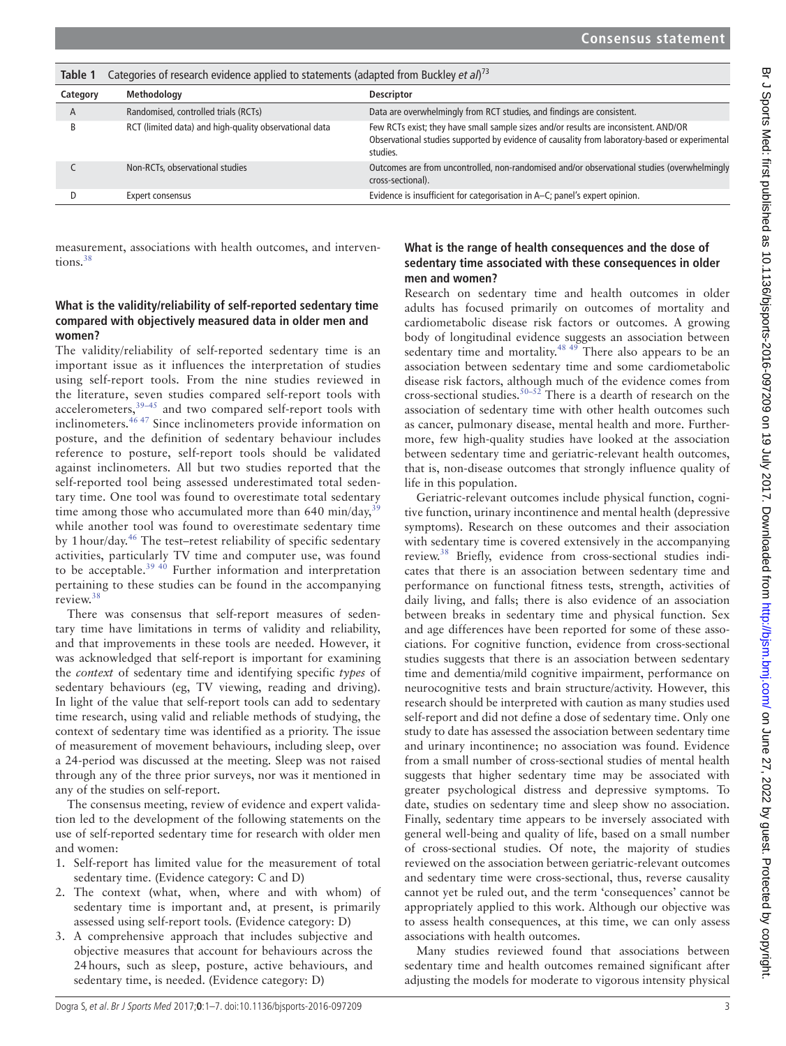<span id="page-2-0"></span>

| Table 1  | Categories of research evidence applied to statements (adapted from Buckley et al) <sup>73</sup> |                                                                                                                                                                                                    |
|----------|--------------------------------------------------------------------------------------------------|----------------------------------------------------------------------------------------------------------------------------------------------------------------------------------------------------|
| Category | Methodology                                                                                      | <b>Descriptor</b>                                                                                                                                                                                  |
| A        | Randomised, controlled trials (RCTs)                                                             | Data are overwhelmingly from RCT studies, and findings are consistent.                                                                                                                             |
|          | RCT (limited data) and high-quality observational data                                           | Few RCTs exist; they have small sample sizes and/or results are inconsistent. AND/OR<br>Observational studies supported by evidence of causality from laboratory-based or experimental<br>studies. |
|          | Non-RCTs, observational studies                                                                  | Outcomes are from uncontrolled, non-randomised and/or observational studies (overwhelmingly<br>cross-sectional).                                                                                   |
|          | Expert consensus                                                                                 | Evidence is insufficient for categorisation in A–C; panel's expert opinion.                                                                                                                        |

measurement, associations with health outcomes, and interven-tions.<sup>[38](#page-5-20)</sup>

# **What is the validity/reliability of self-reported sedentary time compared with objectively measured data in older men and women?**

The validity/reliability of self-reported sedentary time is an important issue as it influences the interpretation of studies using self-report tools. From the nine studies reviewed in the literature, seven studies compared self-report tools with accelerometers, $39-45$  and two compared self-report tools with inclinometers.<sup>[46 47](#page-6-1)</sup> Since inclinometers provide information on posture, and the definition of sedentary behaviour includes reference to posture, self-report tools should be validated against inclinometers. All but two studies reported that the self-reported tool being assessed underestimated total sedentary time. One tool was found to overestimate total sedentary time among those who accumulated more than 640 min/day, $3<sup>3</sup>$ while another tool was found to overestimate sedentary time by 1 hour/day.<sup>[46](#page-6-1)</sup> The test-retest reliability of specific sedentary activities, particularly TV time and computer use, was found to be acceptable.<sup>39 40</sup> Further information and interpretation pertaining to these studies can be found in the accompanying review. $3$ 

There was consensus that self-report measures of sedentary time have limitations in terms of validity and reliability, and that improvements in these tools are needed. However, it was acknowledged that self-report is important for examining the *context* of sedentary time and identifying specific *types* of sedentary behaviours (eg, TV viewing, reading and driving). In light of the value that self-report tools can add to sedentary time research, using valid and reliable methods of studying, the context of sedentary time was identified as a priority. The issue of measurement of movement behaviours, including sleep, over a 24-period was discussed at the meeting. Sleep was not raised through any of the three prior surveys, nor was it mentioned in any of the studies on self-report.

The consensus meeting, review of evidence and expert validation led to the development of the following statements on the use of self-reported sedentary time for research with older men and women:

- 1. Self-report has limited value for the measurement of total sedentary time. (Evidence category: C and D)
- 2. The context (what, when, where and with whom) of sedentary time is important and, at present, is primarily assessed using self-report tools. (Evidence category: D)
- 3. A comprehensive approach that includes subjective and objective measures that account for behaviours across the 24hours, such as sleep, posture, active behaviours, and sedentary time, is needed. (Evidence category: D)

# **What is the range of health consequences and the dose of sedentary time associated with these consequences in older men and women?**

Research on sedentary time and health outcomes in older adults has focused primarily on outcomes of mortality and cardiometabolic disease risk factors or outcomes. A growing body of longitudinal evidence suggests an association between sedentary time and mortality.<sup>48,49</sup> There also appears to be an association between sedentary time and some cardiometabolic disease risk factors, although much of the evidence comes from cross-sectional studies.<sup>[50–52](#page-6-3)</sup> There is a dearth of research on the association of sedentary time with other health outcomes such as cancer, pulmonary disease, mental health and more. Furthermore, few high-quality studies have looked at the association between sedentary time and geriatric-relevant health outcomes, that is, non-disease outcomes that strongly influence quality of life in this population.

Geriatric-relevant outcomes include physical function, cognitive function, urinary incontinence and mental health (depressive symptoms). Research on these outcomes and their association with sedentary time is covered extensively in the accompanying review.[38](#page-5-20) Briefly, evidence from cross-sectional studies indicates that there is an association between sedentary time and performance on functional fitness tests, strength, activities of daily living, and falls; there is also evidence of an association between breaks in sedentary time and physical function. Sex and age differences have been reported for some of these associations. For cognitive function, evidence from cross-sectional studies suggests that there is an association between sedentary time and dementia/mild cognitive impairment, performance on neurocognitive tests and brain structure/activity. However, this research should be interpreted with caution as many studies used self-report and did not define a dose of sedentary time. Only one study to date has assessed the association between sedentary time and urinary incontinence; no association was found. Evidence from a small number of cross-sectional studies of mental health suggests that higher sedentary time may be associated with greater psychological distress and depressive symptoms. To date, studies on sedentary time and sleep show no association. Finally, sedentary time appears to be inversely associated with general well-being and quality of life, based on a small number of cross-sectional studies. Of note, the majority of studies reviewed on the association between geriatric-relevant outcomes and sedentary time were cross-sectional, thus, reverse causality cannot yet be ruled out, and the term 'consequences' cannot be appropriately applied to this work. Although our objective was to assess health consequences, at this time, we can only assess associations with health outcomes.

Many studies reviewed found that associations between sedentary time and health outcomes remained significant after adjusting the models for moderate to vigorous intensity physical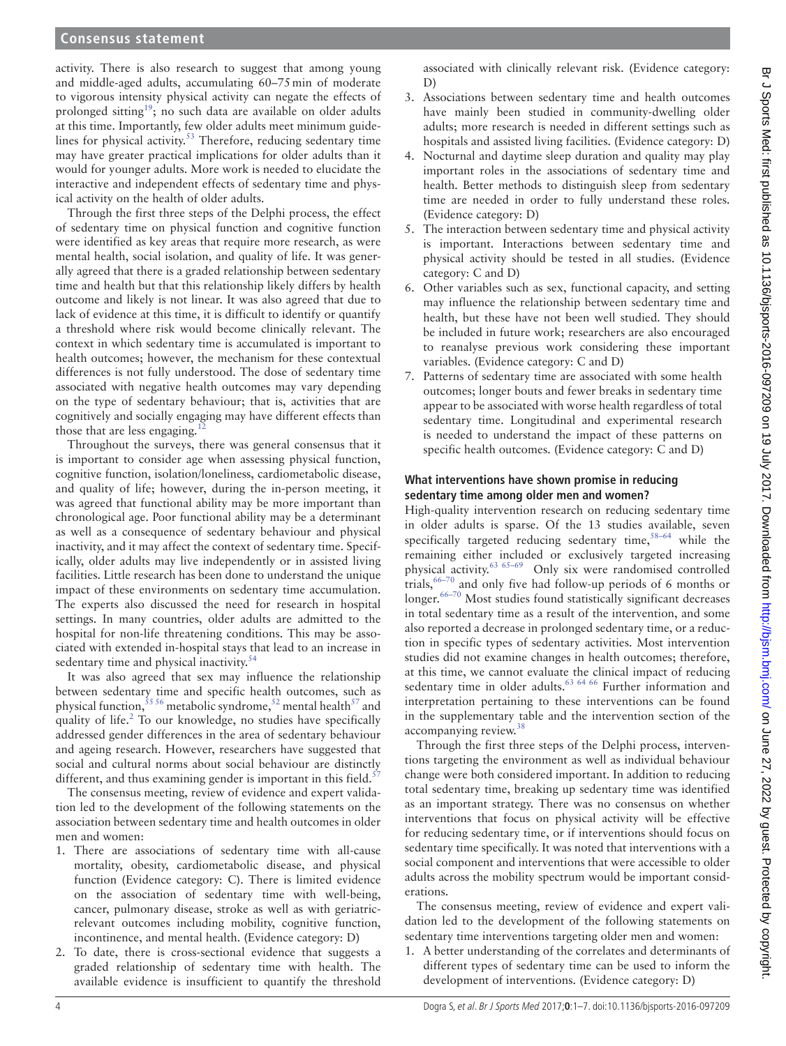activity. There is also research to suggest that among young and middle-aged adults, accumulating 60–75min of moderate to vigorous intensity physical activity can negate the effects of prolonged sitting<sup>19</sup>; no such data are available on older adults at this time. Importantly, few older adults meet minimum guidelines for physical activity.<sup>53</sup> Therefore, reducing sedentary time may have greater practical implications for older adults than it would for younger adults. More work is needed to elucidate the interactive and independent effects of sedentary time and physical activity on the health of older adults.

Through the first three steps of the Delphi process, the effect of sedentary time on physical function and cognitive function were identified as key areas that require more research, as were mental health, social isolation, and quality of life. It was generally agreed that there is a graded relationship between sedentary time and health but that this relationship likely differs by health outcome and likely is not linear. It was also agreed that due to lack of evidence at this time, it is difficult to identify or quantify a threshold where risk would become clinically relevant. The context in which sedentary time is accumulated is important to health outcomes; however, the mechanism for these contextual differences is not fully understood. The dose of sedentary time associated with negative health outcomes may vary depending on the type of sedentary behaviour; that is, activities that are cognitively and socially engaging may have different effects than those that are less engaging.<sup>[12](#page-5-22)</sup>

Throughout the surveys, there was general consensus that it is important to consider age when assessing physical function, cognitive function, isolation/loneliness, cardiometabolic disease, and quality of life; however, during the in-person meeting, it was agreed that functional ability may be more important than chronological age. Poor functional ability may be a determinant as well as a consequence of sedentary behaviour and physical inactivity, and it may affect the context of sedentary time. Specifically, older adults may live independently or in assisted living facilities. Little research has been done to understand the unique impact of these environments on sedentary time accumulation. The experts also discussed the need for research in hospital settings. In many countries, older adults are admitted to the hospital for non-life threatening conditions. This may be associated with extended in-hospital stays that lead to an increase in sedentary time and physical inactivity. $54$ 

It was also agreed that sex may influence the relationship between sedentary time and specific health outcomes, such as physical function,  $5556$  metabolic syndrome,  $52$  mental health  $57$  and quality of life.<sup>2</sup> To our knowledge, no studies have specifically addressed gender differences in the area of sedentary behaviour and ageing research. However, researchers have suggested that social and cultural norms about social behaviour are distinctly different, and thus examining gender is important in this field.<sup>[57](#page-6-8)</sup>

The consensus meeting, review of evidence and expert validation led to the development of the following statements on the association between sedentary time and health outcomes in older men and women:

- 1. There are associations of sedentary time with all-cause mortality, obesity, cardiometabolic disease, and physical function (Evidence category: C). There is limited evidence on the association of sedentary time with well-being, cancer, pulmonary disease, stroke as well as with geriatricrelevant outcomes including mobility, cognitive function, incontinence, and mental health. (Evidence category: D)
- 2. To date, there is cross-sectional evidence that suggests a graded relationship of sedentary time with health. The available evidence is insufficient to quantify the threshold

associated with clinically relevant risk. (Evidence category: D)

- 3. Associations between sedentary time and health outcomes have mainly been studied in community-dwelling older adults; more research is needed in different settings such as hospitals and assisted living facilities. (Evidence category: D)
- 4. Nocturnal and daytime sleep duration and quality may play important roles in the associations of sedentary time and health. Better methods to distinguish sleep from sedentary time are needed in order to fully understand these roles. (Evidence category: D)
- 5. The interaction between sedentary time and physical activity is important. Interactions between sedentary time and physical activity should be tested in all studies. (Evidence category: C and D)
- 6. Other variables such as sex, functional capacity, and setting may influence the relationship between sedentary time and health, but these have not been well studied. They should be included in future work; researchers are also encouraged to reanalyse previous work considering these important variables. (Evidence category: C and D)
- 7. Patterns of sedentary time are associated with some health outcomes; longer bouts and fewer breaks in sedentary time appear to be associated with worse health regardless of total sedentary time. Longitudinal and experimental research is needed to understand the impact of these patterns on specific health outcomes. (Evidence category: C and D)

# **What interventions have shown promise in reducing sedentary time among older men and women?**

High-quality intervention research on reducing sedentary time in older adults is sparse. Of the 13 studies available, seven specifically targeted reducing sedentary time,  $58-64$  while the remaining either included or exclusively targeted increasing physical activity.[63 65–69](#page-6-10) Only six were randomised controlled trials,  $66-70$  and only five had follow-up periods of 6 months or longer.<sup>66-70</sup> Most studies found statistically significant decreases in total sedentary time as a result of the intervention, and some also reported a decrease in prolonged sedentary time, or a reduction in specific types of sedentary activities. Most intervention studies did not examine changes in health outcomes; therefore, at this time, we cannot evaluate the clinical impact of reducing sedentary time in older adults.<sup>63 64 66</sup> Further information and interpretation pertaining to these interventions can be found in the supplementary table and the intervention section of the accompanying review.[38](#page-5-20)

Through the first three steps of the Delphi process, interventions targeting the environment as well as individual behaviour change were both considered important. In addition to reducing total sedentary time, breaking up sedentary time was identified as an important strategy. There was no consensus on whether interventions that focus on physical activity will be effective for reducing sedentary time, or if interventions should focus on sedentary time specifically. It was noted that interventions with a social component and interventions that were accessible to older adults across the mobility spectrum would be important considerations.

The consensus meeting, review of evidence and expert validation led to the development of the following statements on sedentary time interventions targeting older men and women:

1. A better understanding of the correlates and determinants of different types of sedentary time can be used to inform the development of interventions. (Evidence category: D)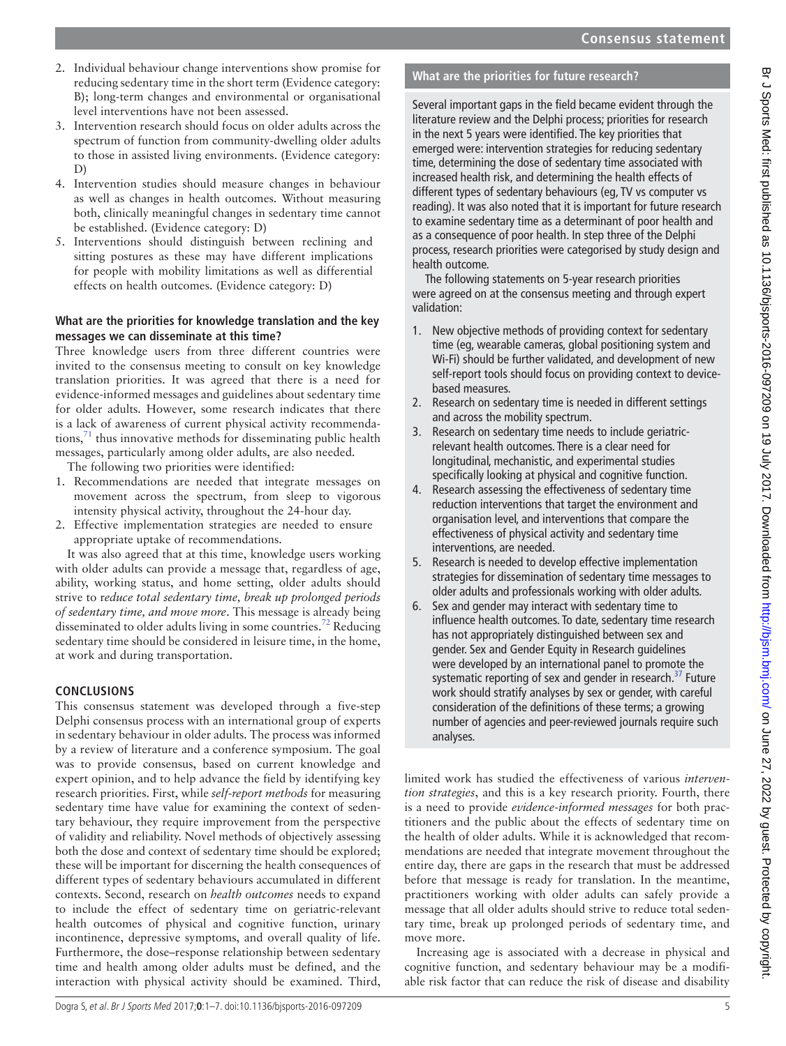- 2. Individual behaviour change interventions show promise for reducing sedentary time in the short term (Evidence category: B); long-term changes and environmental or organisational level interventions have not been assessed.
- 3. Intervention research should focus on older adults across the spectrum of function from community-dwelling older adults to those in assisted living environments. (Evidence category: D)
- 4. Intervention studies should measure changes in behaviour as well as changes in health outcomes. Without measuring both, clinically meaningful changes in sedentary time cannot be established. (Evidence category: D)
- 5. Interventions should distinguish between reclining and sitting postures as these may have different implications for people with mobility limitations as well as differential effects on health outcomes. (Evidence category: D)

# **What are the priorities for knowledge translation and the key messages we can disseminate at this time?**

Three knowledge users from three different countries were invited to the consensus meeting to consult on key knowledge translation priorities. It was agreed that there is a need for evidence-informed messages and guidelines about sedentary time for older adults. However, some research indicates that there is a lack of awareness of current physical activity recommendations, $71$  thus innovative methods for disseminating public health messages, particularly among older adults, are also needed.

The following two priorities were identified:

- 1. Recommendations are needed that integrate messages on movement across the spectrum, from sleep to vigorous intensity physical activity, throughout the 24-hour day.
- 2. Effective implementation strategies are needed to ensure appropriate uptake of recommendations.

It was also agreed that at this time, knowledge users working with older adults can provide a message that, regardless of age, ability, working status, and home setting, older adults should strive to r*educe total sedentary time, break up prolonged periods of sedentary time, and move more*. This message is already being disseminated to older adults living in some countries.[72](#page-6-13) Reducing sedentary time should be considered in leisure time, in the home, at work and during transportation.

# **Conclusions**

This consensus statement was developed through a five-step Delphi consensus process with an international group of experts in sedentary behaviour in older adults. The process was informed by a review of literature and a conference symposium. The goal was to provide consensus, based on current knowledge and expert opinion, and to help advance the field by identifying key research priorities. First, while *self-report methods* for measuring sedentary time have value for examining the context of sedentary behaviour, they require improvement from the perspective of validity and reliability. Novel methods of objectively assessing both the dose and context of sedentary time should be explored; these will be important for discerning the health consequences of different types of sedentary behaviours accumulated in different contexts. Second, research on *health outcomes* needs to expand to include the effect of sedentary time on geriatric-relevant health outcomes of physical and cognitive function, urinary incontinence, depressive symptoms, and overall quality of life. Furthermore, the dose–response relationship between sedentary time and health among older adults must be defined, and the interaction with physical activity should be examined. Third,

# **What are the priorities for future research?**

Several important gaps in the field became evident through the literature review and the Delphi process; priorities for research in the next 5 years were identified. The key priorities that emerged were: intervention strategies for reducing sedentary time, determining the dose of sedentary time associated with increased health risk, and determining the health effects of different types of sedentary behaviours (eg, TV vs computer vs reading). It was also noted that it is important for future research to examine sedentary time as a determinant of poor health and as a consequence of poor health. In step three of the Delphi process, research priorities were categorised by study design and health outcome.

The following statements on 5-year research priorities were agreed on at the consensus meeting and through expert validation:

- 1. New objective methods of providing context for sedentary time (eg, wearable cameras, global positioning system and Wi-Fi) should be further validated, and development of new self-report tools should focus on providing context to devicebased measures.
- 2. Research on sedentary time is needed in different settings and across the mobility spectrum.
- 3. Research on sedentary time needs to include geriatricrelevant health outcomes. There is a clear need for longitudinal, mechanistic, and experimental studies specifically looking at physical and cognitive function.
- 4. Research assessing the effectiveness of sedentary time reduction interventions that target the environment and organisation level, and interventions that compare the effectiveness of physical activity and sedentary time interventions, are needed.
- 5. Research is needed to develop effective implementation strategies for dissemination of sedentary time messages to older adults and professionals working with older adults.
- 6. Sex and gender may interact with sedentary time to influence health outcomes. To date, sedentary time research has not appropriately distinguished between sex and gender. Sex and Gender Equity in Research guidelines were developed by an international panel to promote the systematic reporting of sex and gender in research. $37$  Future work should stratify analyses by sex or gender, with careful consideration of the definitions of these terms; a growing number of agencies and peer-reviewed journals require such analyses.

limited work has studied the effectiveness of various *intervention strategies*, and this is a key research priority. Fourth, there is a need to provide *evidence-informed messages* for both practitioners and the public about the effects of sedentary time on the health of older adults. While it is acknowledged that recommendations are needed that integrate movement throughout the entire day, there are gaps in the research that must be addressed before that message is ready for translation. In the meantime, practitioners working with older adults can safely provide a message that all older adults should strive to reduce total sedentary time, break up prolonged periods of sedentary time, and move more.

Increasing age is associated with a decrease in physical and cognitive function, and sedentary behaviour may be a modifiable risk factor that can reduce the risk of disease and disability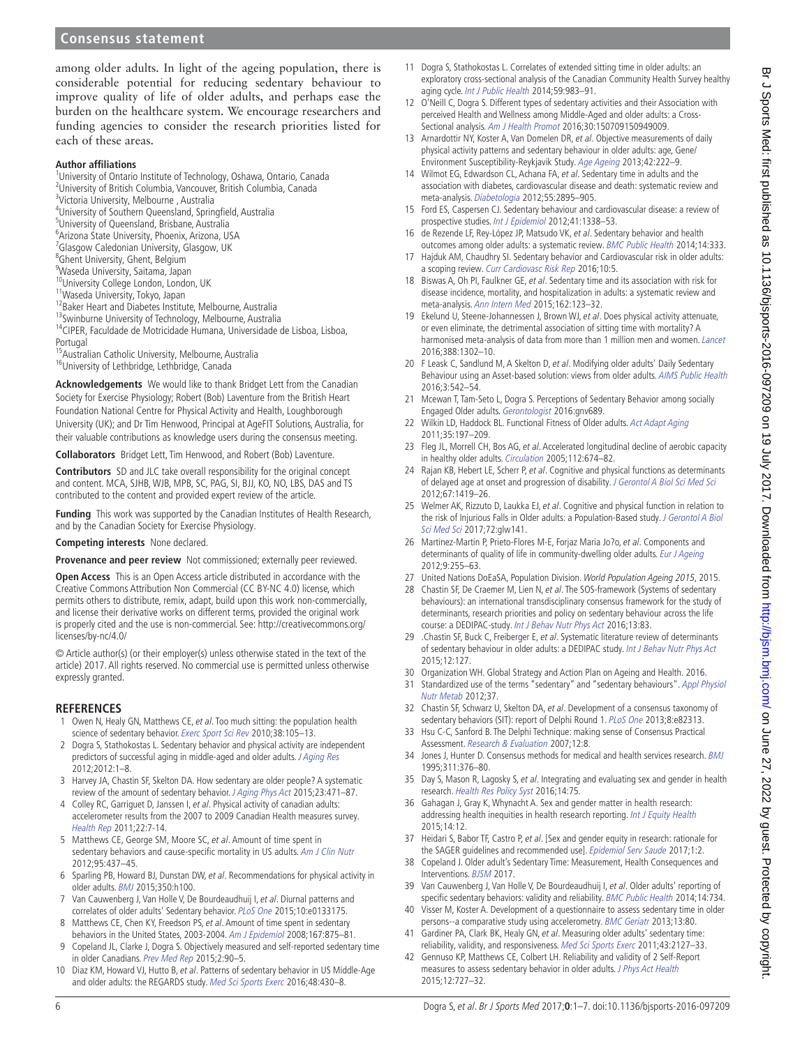# **Consensus statement**

among older adults. In light of the ageing population, there is considerable potential for reducing sedentary behaviour to improve quality of life of older adults, and perhaps ease the burden on the healthcare system. We encourage researchers and funding agencies to consider the research priorities listed for each of these areas.

#### **Author affiliations**

- <sup>1</sup>University of Ontario Institute of Technology, Oshawa, Ontario, Canada
- 2 University of British Columbia, Vancouver, British Columbia, Canada
- <sup>3</sup>Victoria University, Melbourne, Australia
- 4 University of Southern Queensland, Springfield, Australia
- 5 University of Queensland, Brisbane, Australia 6 Arizona State University, Phoenix, Arizona, USA
- <sup>7</sup> Glasgow Caledonian University, Glasgow, UK
- 8 Ghent University, Ghent, Belgium
- 9 Waseda University, Saitama, Japan
- 10University College London, London, UK
- <sup>11</sup>Waseda University, Tokyo, Japan
- <sup>12</sup>Baker Heart and Diabetes Institute, Melbourne, Australia
- <sup>13</sup>Swinburne University of Technology, Melbourne, Australia
- <sup>14</sup>CIPER, Faculdade de Motricidade Humana, Universidade de Lisboa, Lisboa, Portugal
- <sup>5</sup>Australian Catholic University, Melbourne, Australia
- <sup>16</sup>University of Lethbridge, Lethbridge, Canada

**Acknowledgements** We would like to thank Bridget Lett from the Canadian Society for Exercise Physiology; Robert (Bob) Laventure from the British Heart Foundation National Centre for Physical Activity and Health, Loughborough University (UK); and Dr Tim Henwood, Principal at AgeFIT Solutions, Australia, for their valuable contributions as knowledge users during the consensus meeting.

**Collaborators** Bridget Lett, Tim Henwood, and Robert (Bob) Laventure.

**Contributors** SD and JLC take overall responsibility for the original concept and content. MCA, SJHB, WJB, MPB, SC, PAG, SI, BJJ, KO, NO, LBS, DAS and TS contributed to the content and provided expert review of the article.

**Funding** This work was supported by the Canadian Institutes of Health Research, and by the Canadian Society for Exercise Physiology.

#### **Competing interests** None declared.

**Provenance and peer review** Not commissioned; externally peer reviewed.

**Open Access** This is an Open Access article distributed in accordance with the Creative Commons Attribution Non Commercial (CC BY-NC 4.0) license, which permits others to distribute, remix, adapt, build upon this work non-commercially, and license their derivative works on different terms, provided the original work is properly cited and the use is non-commercial. See: [http://creativecommons.org/](http://creativecommons.org/licenses/by-nc/4.0/) [licenses/by-nc/4.0/](http://creativecommons.org/licenses/by-nc/4.0/)

© Article author(s) (or their employer(s) unless otherwise stated in the text of the article) 2017. All rights reserved. No commercial use is permitted unless otherwise expressly granted.

## **References**

- <span id="page-5-0"></span>Owen N, Healy GN, Matthews CE, et al. Too much sitting: the population health science of sedentary behavior. [Exerc Sport Sci Rev](http://dx.doi.org/10.1097/JES.0b013e3181e373a2) 2010;38:105-13.
- <span id="page-5-1"></span>2 Dogra S, Stathokostas L. Sedentary behavior and physical activity are independent predictors of successful aging in middle-aged and older adults. [J Aging Res](http://dx.doi.org/10.1155/2012/190654) 2012;2012:1–8.
- <span id="page-5-2"></span>3 Harvey JA, Chastin SF, Skelton DA. How sedentary are older people? A systematic review of the amount of sedentary behavior. [J Aging Phys Act](http://dx.doi.org/10.1123/japa.2014-0164) 2015;23:471–87.
- <span id="page-5-3"></span>4 Colley RC, Garriguet D, Janssen I, et al. Physical activity of canadian adults: accelerometer results from the 2007 to 2009 Canadian Health measures survey. Health Rep 2011;22:7-14.
- 5 Matthews CE, George SM, Moore SC, et al. Amount of time spent in sedentary behaviors and cause-specific mortality in US adults. [Am J Clin Nutr](http://dx.doi.org/10.3945/ajcn.111.019620) 2012;95:437–45.
- 6 Sparling PB, Howard BJ, Dunstan DW, et al. Recommendations for physical activity in older adults. [BMJ](http://dx.doi.org/10.1136/bmj.h100) 2015;350:h100.
- Van Cauwenberg J, Van Holle V, De Bourdeaudhuij I, et al. Diurnal patterns and correlates of older adults' Sedentary behavior. [PLoS One](http://dx.doi.org/10.1371/journal.pone.0133175) 2015;10:e0133175.
- 8 Matthews CE, Chen KY, Freedson PS, et al. Amount of time spent in sedentary behaviors in the United States, 2003-2004. [Am J Epidemiol](http://dx.doi.org/10.1093/aje/kwm390) 2008;167:875–81.
- 9 Copeland JL, Clarke J, Dogra S. Objectively measured and self-reported sedentary time in older Canadians. [Prev Med Rep](http://dx.doi.org/10.1016/j.pmedr.2015.01.003) 2015;2:90–5.
- <span id="page-5-4"></span>10 Diaz KM, Howard VJ, Hutto B, et al. Patterns of sedentary behavior in US Middle-Age and older adults: the REGARDS study. [Med Sci Sports Exerc](http://dx.doi.org/10.1249/MSS.0000000000000792) 2016;48:430-8.
- <span id="page-5-5"></span>11 Dogra S, Stathokostas L. Correlates of extended sitting time in older adults: an exploratory cross-sectional analysis of the Canadian Community Health Survey healthy aging cycle. [Int J Public Health](http://dx.doi.org/10.1007/s00038-014-0540-3) 2014;59:983-91.
- <span id="page-5-22"></span>12 O'Neill C, Dogra S. Different types of sedentary activities and their Association with perceived Health and Wellness among Middle-Aged and older adults: a Cross-Sectional analysis. [Am J Health Promot](http://dx.doi.org/10.4278/ajhp.140714-QUAN-332) 2016;30:150709150949009.
- 13 Arnardottir NY, Koster A, Van Domelen DR, et al. Objective measurements of daily physical activity patterns and sedentary behaviour in older adults: age, Gene/ Environment Susceptibility-Reykjavik Study. [Age Ageing](http://dx.doi.org/10.1093/ageing/afs160) 2013;42:222–9.
- <span id="page-5-6"></span>14 Wilmot EG, Edwardson CL, Achana FA, et al. Sedentary time in adults and the association with diabetes, cardiovascular disease and death: systematic review and meta-analysis. [Diabetologia](http://dx.doi.org/10.1007/s00125-012-2677-z) 2012;55:2895–905.
- 15 Ford ES, Caspersen CJ. Sedentary behaviour and cardiovascular disease: a review of prospective studies. [Int J Epidemiol](http://dx.doi.org/10.1093/ije/dys078) 2012;41:1338-53.
- 16 de Rezende LF, Rey-López JP, Matsudo VK, et al. Sedentary behavior and health outcomes among older adults: a systematic review. [BMC Public Health](http://dx.doi.org/10.1186/1471-2458-14-333) 2014;14:333.
- <span id="page-5-7"></span>17 Hajduk AM, Chaudhry SI. Sedentary behavior and Cardiovascular risk in older adults: a scoping review. [Curr Cardiovasc Risk Rep](http://dx.doi.org/10.1007/s12170-016-0485-6) 2016;10:5.
- 18 Biswas A, Oh PI, Faulkner GE, et al. Sedentary time and its association with risk for disease incidence, mortality, and hospitalization in adults: a systematic review and meta-analysis. [Ann Intern Med](http://dx.doi.org/10.7326/M14-1651) 2015;162:123–32.
- <span id="page-5-8"></span>19 Ekelund U, Steene-Johannessen J, Brown WJ, et al. Does physical activity attenuate, or even eliminate, the detrimental association of sitting time with mortality? A harmonised meta-analysis of data from more than 1 million men and women. [Lancet](http://dx.doi.org/10.1016/S0140-6736(16)30370-1) 2016;388:1302–10.
- <span id="page-5-9"></span>20 F Leask C, Sandlund M, A Skelton D, et al. Modifying older adults' Daily Sedentary Behaviour using an Asset-based solution: views from older adults. [AIMS Public Health](http://dx.doi.org/10.3934/publichealth.2016.3.542) 2016;3:542–54.
- 21 Mcewan T, Tam-Seto L, Dogra S. Perceptions of Sedentary Behavior among socially Engaged Older adults. [Gerontologist](http://dx.doi.org/10.1093/geront/gnv689) 2016:gnv689.
- 22 Wilkin LD, Haddock BL. Functional Fitness of Older adults. [Act Adapt Aging](http://dx.doi.org/10.1080/01924788.2011.596759) 2011;35:197–209.
- 23 Fleg JL, Morrell CH, Bos AG, et al. Accelerated longitudinal decline of aerobic capacity in healthy older adults. [Circulation](http://dx.doi.org/10.1161/CIRCULATIONAHA.105.545459) 2005;112:674–82.
- <span id="page-5-10"></span>24 Rajan KB, Hebert LE, Scherr P, et al. Cognitive and physical functions as determinants of delayed age at onset and progression of disability. [J Gerontol A Biol Sci Med Sci](http://dx.doi.org/10.1093/gerona/gls098) 2012;67:1419–26.
- 25 Welmer AK, Rizzuto D, Laukka EJ, et al. Cognitive and physical function in relation to the risk of Injurious Falls in Older adults: a Population-Based study. J Gerontol A Biol [Sci Med Sci](http://dx.doi.org/10.1093/gerona/glw141) 2017;72:glw141.
- 26 Martinez-Martin P, Prieto-Flores M-E, Forjaz Maria Jo?o, et al. Components and determinants of quality of life in community-dwelling older adults. [Eur J Ageing](http://dx.doi.org/10.1007/s10433-012-0232-x) 2012;9:255–63.
- <span id="page-5-11"></span>27 United Nations DoEaSA, Population Division. World Population Ageing 2015, 2015.
- <span id="page-5-12"></span>28 Chastin SF, De Craemer M, Lien N, et al. The SOS-framework (Systems of sedentary behaviours): an international transdisciplinary consensus framework for the study of determinants, research priorities and policy on sedentary behaviour across the life course: a DEDIPAC-study. [Int J Behav Nutr Phys Act](http://dx.doi.org/10.1186/s12966-016-0409-3) 2016;13:83.
- <span id="page-5-13"></span>29 .Chastin SF, Buck C, Freiberger E, et al. Systematic literature review of determinants of sedentary behaviour in older adults: a DEDIPAC study. [Int J Behav Nutr Phys Act](http://dx.doi.org/10.1186/s12966-015-0292-3)  $2015:12:127$
- <span id="page-5-14"></span>30 Organization WH. Global Strategy and Action Plan on Ageing and Health. 2016.
- <span id="page-5-15"></span>31 Standardized use of the terms "sedentary" and "sedentary behaviours". Appl Physiol Nutr Metab 2012;37.
- <span id="page-5-16"></span>32 Chastin SF, Schwarz U, Skelton DA, et al. Development of a consensus taxonomy of sedentary behaviors (SIT): report of Delphi Round 1. [PLoS One](http://dx.doi.org/10.1371/journal.pone.0082313) 2013;8:e82313.
- <span id="page-5-17"></span>33 Hsu C-C, Sanford B. The Delphi Technique: making sense of Consensus Practical Assessment. Research & Evaluation 2007;12:8.
- 34 Jones J, Hunter D. Consensus methods for medical and health services research. BMJ 1995;311:376–80.
- <span id="page-5-18"></span>35 Day S, Mason R, Lagosky S, et al. Integrating and evaluating sex and gender in health research. [Health Res Policy Syst](http://dx.doi.org/10.1186/s12961-016-0147-7) 2016;14:75.
- 36 Gahagan J, Gray K, Whynacht A. Sex and gender matter in health research: addressing health inequities in health research reporting. [Int J Equity Health](http://dx.doi.org/10.1186/s12939-015-0144-4) 2015;14:12.
- <span id="page-5-19"></span>37 Heidari S, Babor TF, Castro P, et al. [Sex and gender equity in research: rationale for the SAGER guidelines and recommended use]. [Epidemiol Serv Saude](http://dx.doi.org/10.1186/s41073-016-0007-6) 2017;1:2.
- <span id="page-5-20"></span>38 Copeland J. Older adult's Sedentary Time: Measurement, Health Consequences and Interventions. BJSM 2017.
- <span id="page-5-21"></span>39 Van Cauwenberg J, Van Holle V, De Bourdeaudhuij I, et al. Older adults' reporting of specific sedentary behaviors: validity and reliability. [BMC Public Health](http://dx.doi.org/10.1186/1471-2458-14-734) 2014;14:734.
- 40 Visser M, Koster A. Development of a questionnaire to assess sedentary time in older persons--a comparative study using accelerometry. [BMC Geriatr](http://dx.doi.org/10.1186/1471-2318-13-80) 2013;13:80.
- 41 Gardiner PA, Clark BK, Healy GN, et al. Measuring older adults' sedentary time: reliability, validity, and responsiveness. [Med Sci Sports Exerc](http://dx.doi.org/10.1249/MSS.0b013e31821b94f7) 2011;43:2127–33.
- 42 Gennuso KP, Matthews CE, Colbert LH. Reliability and validity of 2 Self-Report measures to assess sedentary behavior in older adults. [J Phys Act Health](http://dx.doi.org/10.1123/jpah.2013-0546) 2015;12:727–32.